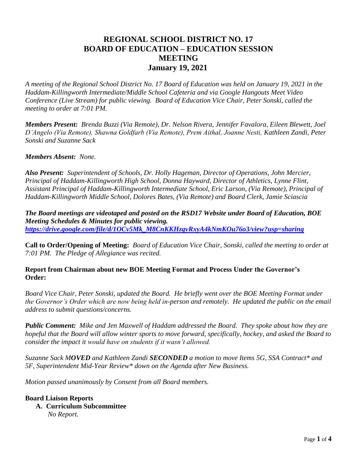# **REGIONAL SCHOOL DISTRICT NO. 17 BOARD OF EDUCATION – EDUCATION SESSION MEETING January 19, 2021**

*A meeting of the Regional School District No. 17 Board of Education was held on January 19, 2021 in the Haddam-Killingworth Intermediate/Middle School Cafeteria and via Google Hangouts Meet Video Conference (Live Stream) for public viewing. Board of Education Vice Chair, Peter Sonski, called the meeting to order at 7:01 PM.*

*Members Present: Brenda Buzzi (Via Remote), Dr. Nelson Rivera, Jennifer Favalora, Eileen Blewett, Joel D'Angelo (Via Remote), Shawna Goldfarb (Via Remote), Prem Aithal, Joanne Nesti, Kathleen Zandi, Peter Sonski and Suzanne Sack* 

*Members Absent: None.*

*Also Present: Superintendent of Schools, Dr. Holly Hageman, Director of Operations, John Mercier, Principal of Haddam-Killingworth High School, Donna Hayward, Director of Athletics, Lynne Flint, Assistant Principal of Haddam-Killingworth Intermediate School, Eric Larson, (Via Remote), Principal of Haddam-Killingworth Middle School, Dolores Bates, (Via Remote) and Board Clerk, Jamie Sciascia* 

*The Board meetings are videotaped and posted on the RSD17 Website under Board of Education, BOE Meeting Schedules & Minutes for public viewing. [https://drive.google.com/file/d/1OCv5Mk\\_M8CnKKHzqvRxyA4kNmKOu76o3/view?usp=sharing](https://drive.google.com/file/d/1OCv5Mk_M8CnKKHzqvRxyA4kNmKOu76o3/view?usp=sharing)*

**Call to Order/Opening of Meeting:** *Board of Education Vice Chair, Sonski, called the meeting to order at 7:01 PM. The Pledge of Allegiance was recited.*

**Report from Chairman about new BOE Meeting Format and Process Under the Governor's Order:**

*Board Vice Chair, Peter Sonski, updated the Board. He briefly went over the BOE Meeting Format under the Governor's Order which are now being held in-person and remotely. He updated the public on the email address to submit questions/concerns.*

*Public Comment: Mike and Jen Maxwell of Haddam addressed the Board. They spoke about how they are hopeful that the Board will allow winter sports to move forward, specifically, hockey, and asked the Board to consider the impact it would have on students if it wasn't allowed.*

*Suzanne Sack MOVED and Kathleen Zandi SECONDED a motion to move Items 5G, SSA Contract\* and 5F, Superintendent Mid-Year Review\* down on the Agenda after New Business.*

*Motion passed unanimously by Consent from all Board members.*

## **Board Liaison Reports**

 **A. Curriculum Subcommittee** *No Report.*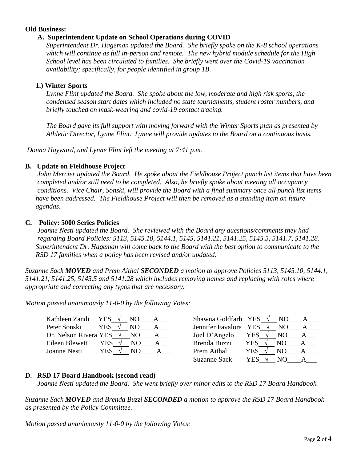## **Old Business:**

# **A. Superintendent Update on School Operations during COVID**

*Superintendent Dr. Hageman updated the Board. She briefly spoke on the K-8 school operations which will continue as full in-person and remote. The new hybrid module schedule for the High School level has been circulated to families. She briefly went over the Covid-19 vaccination availability; specifically, for people identified in group 1B.*

# **1.) Winter Sports**

*Lynne Flint updated the Board. She spoke about the low, moderate and high risk sports, the condensed season start dates which included no state tournaments, student roster numbers, and briefly touched on mask-wearing and covid-19 contact tracing.*

*The Board gave its full support with moving forward with the Winter Sports plan as presented by Athletic Director, Lynne Flint. Lynne will provide updates to the Board on a continuous basis.* 

*Donna Hayward, and Lynne Flint left the meeting at 7:41 p.m.* 

## **B. Update on Fieldhouse Project**

 *John Mercier updated the Board. He spoke about the Fieldhouse Project punch list items that have been completed and/or still need to be completed. Also, he briefly spoke about meeting all occupancy conditions. Vice Chair, Sonski, will provide the Board with a final summary once all punch list items have been addressed. The Fieldhouse Project will then be removed as a standing item on future agendas.*

## **C. Policy: 5000 Series Policies**

 *Joanne Nesti updated the Board. She reviewed with the Board any questions/comments they had regarding Board Policies: 5113, 5145.10, 5144.1, 5145, 5141.21, 5141.25, 5145.5, 5141.7, 5141.28. Superintendent Dr. Hageman will come back to the Board with the best option to communicate to the RSD 17 families when a policy has been revised and/or updated.* 

*Suzanne Sack MOVED and Prem Aithal SECONDED a motion to approve Policies 5113, 5145.10, 5144.1, 5141.21, 5141.25, 5145.5 and 5141.28 which includes removing names and replacing with roles where appropriate and correcting any typos that are necessary.*

*Motion passed unanimously 11-0-0 by the following Votes:*

| Kathleen Zandi        | YES<br>N() | Shawna Goldfarb YES   |     | NO. |  |
|-----------------------|------------|-----------------------|-----|-----|--|
| Peter Sonski          | YES.<br>NΟ | Jennifer Favalora YES |     | NO. |  |
| Dr. Nelson Rivera YES | N()        | Joel D'Angelo         | YES | NO. |  |
| Eileen Blewett        | YES.<br>NО | Brenda Buzzi          | YES | NΟ  |  |
| Joanne Nesti          | YES        | Prem Aithal           | YES |     |  |

| Shawna Goldfarb YES   | NO. |  |
|-----------------------|-----|--|
| Jennifer Favalora YES | NO  |  |
| YES                   | NО  |  |
| <b>YES</b>            | NО  |  |
| YES                   | NO. |  |
| YES                   | NΟ  |  |
|                       |     |  |

## **D. RSD 17 Board Handbook (second read)**

*Joanne Nesti updated the Board. She went briefly over minor edits to the RSD 17 Board Handbook.*

*Suzanne Sack MOVED and Brenda Buzzi SECONDED a motion to approve the RSD 17 Board Handbook as presented by the Policy Committee.* 

*Motion passed unanimously 11-0-0 by the following Votes:*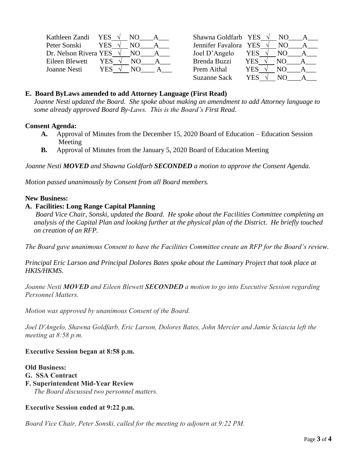| Kathleen Zandi        | YES.       |     | Shawna Goldfarb YES   |      |     |  |
|-----------------------|------------|-----|-----------------------|------|-----|--|
| Peter Sonski          | YES.       | NO. | Jennifer Favalora YES |      | NO. |  |
| Dr. Nelson Rivera YES |            |     | Joel D'Angelo         | YES. | NO. |  |
| Eileen Blewett        | YES.       | NO. | Brenda Buzzi          | YES  | NO. |  |
| Joanne Nesti          | <b>YES</b> | NO) | Prem Aithal           | YES  |     |  |

|            | NO.                                          |  |
|------------|----------------------------------------------|--|
|            | NО                                           |  |
| YES        | NО                                           |  |
| <b>YES</b> | NО                                           |  |
| YES        | NO.                                          |  |
| <b>YES</b> | NO.                                          |  |
|            | Shawna Goldfarb YES<br>Jennifer Favalora YES |  |

#### **E. Board ByLaws amended to add Attorney Language (First Read)**

 *Joanne Nesti updated the Board. She spoke about making an amendment to add Attorney language to some already approved Board By-Laws. This is the Board's First Read.* 

#### **Consent Agenda:**

- **A.** Approval of Minutes from the December 15, 2020 Board of Education Education Session Meeting
- **B.** Approval of Minutes from the January 5, 2020 Board of Education Meeting

*Joanne Nesti MOVED and Shawna Goldfarb SECONDED a motion to approve the Consent Agenda.* 

*Motion passed unanimously by Consent from all Board members.*

#### **New Business:**

## **A. Facilities: Long Range Capital Planning**

 *Board Vice Chair, Sonski, updated the Board. He spoke about the Facilities Committee completing an analysis of the Capital Plan and looking further at the physical plan of the District. He briefly touched on creation of an RFP.*

*The Board gave unanimous Consent to have the Facilities Committee create an RFP for the Board's review.*

*Principal Eric Larson and Principal Dolores Bates spoke about the Luminary Project that took place at HKIS/HKMS.*

*Joanne Nesti MOVED and Eileen Blewett SECONDED a motion to go into Executive Session regarding Personnel Matters.*

*Motion was approved by unanimous Consent of the Board.*

*Joel D'Angelo, Shawna Goldfarb, Eric Larson, Dolores Bates, John Mercier and Jamie Sciascia left the meeting at 8:58 p.m.*

## **Executive Session began at 8:58 p.m.**

**Old Business: G. SSA Contract F. Superintendent Mid-Year Review**  *The Board discussed two personnel matters.*

## **Executive Session ended at 9:22 p.m.**

*Board Vice Chair, Peter Sonski, called for the meeting to adjourn at 9:22 PM.*